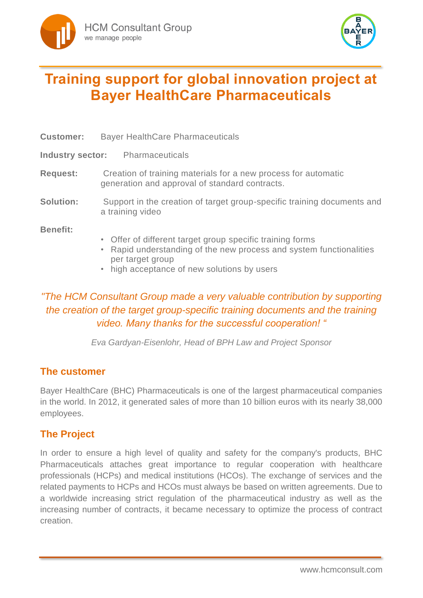



# **Training support for global innovation project at Bayer HealthCare Pharmaceuticals**

| <b>Customer:</b> | <b>Bayer HealthCare Pharmaceuticals</b>                                                                                                                                                             |
|------------------|-----------------------------------------------------------------------------------------------------------------------------------------------------------------------------------------------------|
|                  | <b>Industry sector:</b> Pharmaceuticals                                                                                                                                                             |
| <b>Request:</b>  | Creation of training materials for a new process for automatic<br>generation and approval of standard contracts.                                                                                    |
| <b>Solution:</b> | Support in the creation of target group-specific training documents and<br>a training video                                                                                                         |
| <b>Benefit:</b>  | • Offer of different target group specific training forms<br>• Rapid understanding of the new process and system functionalities<br>per target group<br>• high acceptance of new solutions by users |

## *"The HCM Consultant Group made a very valuable contribution by supporting the creation of the target group-specific training documents and the training video. Many thanks for the successful cooperation! "*

*Eva Gardyan-Eisenlohr, Head of BPH Law and Project Sponsor*

### **The customer**

Bayer HealthCare (BHC) Pharmaceuticals is one of the largest pharmaceutical companies in the world. In 2012, it generated sales of more than 10 billion euros with its nearly 38,000 employees.

### **The Project**

In order to ensure a high level of quality and safety for the company's products, BHC Pharmaceuticals attaches great importance to regular cooperation with healthcare professionals (HCPs) and medical institutions (HCOs). The exchange of services and the related payments to HCPs and HCOs must always be based on written agreements. Due to a worldwide increasing strict regulation of the pharmaceutical industry as well as the increasing number of contracts, it became necessary to optimize the process of contract creation.